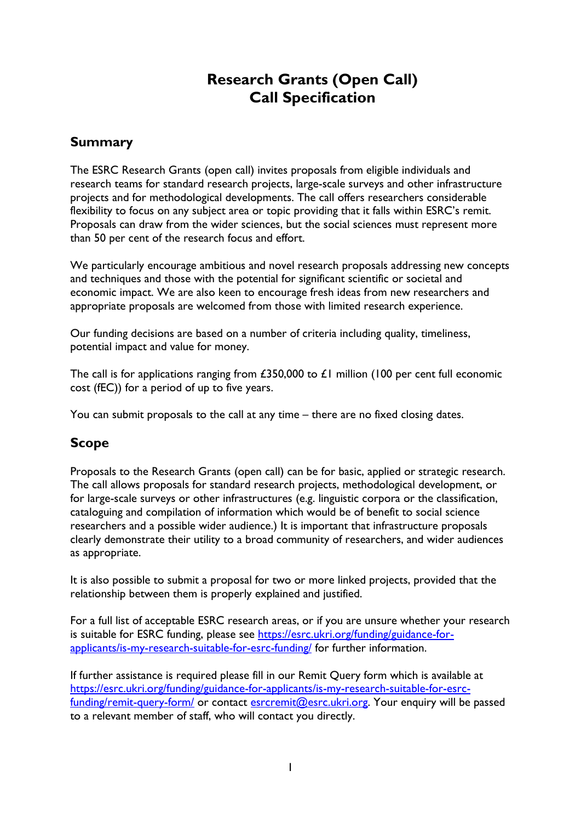# **Research Grants (Open Call) Call Specification**

# **Summary**

The ESRC Research Grants (open call) invites proposals from eligible individuals and research teams for standard research projects, large-scale surveys and other infrastructure projects and for methodological developments. The call offers researchers considerable flexibility to focus on any subject area or topic providing that it falls within ESRC's remit. Proposals can draw from the wider sciences, but the social sciences must represent more than 50 per cent of the research focus and effort.

We particularly encourage ambitious and novel research proposals addressing new concepts and techniques and those with the potential for significant scientific or societal and economic impact. We are also keen to encourage fresh ideas from new researchers and appropriate proposals are welcomed from those with limited research experience.

Our funding decisions are based on a number of criteria including quality, timeliness, potential impact and value for money.

The call is for applications ranging from £350,000 to £1 million (100 per cent full economic cost (fEC)) for a period of up to five years.

You can submit proposals to the call at any time – there are no fixed closing dates.

# **Scope**

Proposals to the Research Grants (open call) can be for basic, applied or strategic research. The call allows proposals for standard research projects, methodological development, or for large-scale surveys or other infrastructures (e.g. linguistic corpora or the classification, cataloguing and compilation of information which would be of benefit to social science researchers and a possible wider audience.) It is important that infrastructure proposals clearly demonstrate their utility to a broad community of researchers, and wider audiences as appropriate.

It is also possible to submit a proposal for two or more linked projects, provided that the relationship between them is properly explained and justified.

For a full list of acceptable ESRC research areas, or if you are unsure whether your research is suitable for ESRC funding, please see [https://esrc.ukri.org/funding/guidance-for](https://esrc.ukri.org/funding/guidance-for-applicants/is-my-research-suitable-for-esrc-funding/)[applicants/is-my-research-suitable-for-esrc-funding/](https://esrc.ukri.org/funding/guidance-for-applicants/is-my-research-suitable-for-esrc-funding/) for further information.

If further assistance is required please fill in our Remit Query form which is available at [https://esrc.ukri.org/funding/guidance-for-applicants/is-my-research-suitable-for-esrc](https://esrc.ukri.org/funding/guidance-for-applicants/is-my-research-suitable-for-esrc-funding/remit-query-form/)[funding/remit-query-form/](https://esrc.ukri.org/funding/guidance-for-applicants/is-my-research-suitable-for-esrc-funding/remit-query-form/) or contact [esrcremit@esrc.ukri.org.](mailto:esrcremit@esrc.ukri.org) Your enquiry will be passed to a relevant member of staff, who will contact you directly.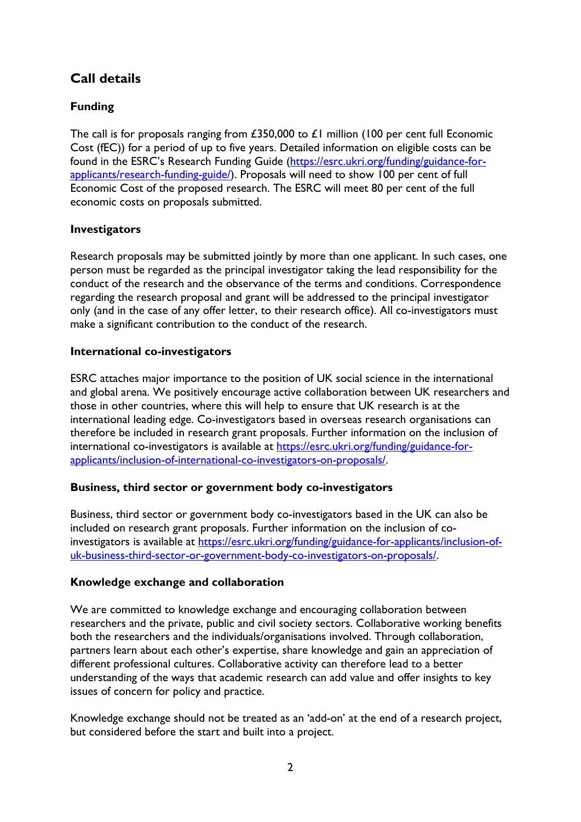# **Call details**

# **Funding**

The call is for proposals ranging from £350,000 to £1 million (100 per cent full Economic Cost (fEC)) for a period of up to five years. Detailed information on eligible costs can be found in the ESRC's Research Funding Guide [\(https://esrc.ukri.org/funding/guidance-for](https://esrc.ukri.org/funding/guidance-for-applicants/research-funding-guide/)[applicants/research-funding-guide/\)](https://esrc.ukri.org/funding/guidance-for-applicants/research-funding-guide/). Proposals will need to show 100 per cent of full Economic Cost of the proposed research. The ESRC will meet 80 per cent of the full economic costs on proposals submitted.

### **Investigators**

Research proposals may be submitted jointly by more than one applicant. In such cases, one person must be regarded as the principal investigator taking the lead responsibility for the conduct of the research and the observance of the terms and conditions. Correspondence regarding the research proposal and grant will be addressed to the principal investigator only (and in the case of any offer letter, to their research office). All co-investigators must make a significant contribution to the conduct of the research.

### **International co-investigators**

ESRC attaches major importance to the position of UK social science in the international and global arena. We positively encourage active collaboration between UK researchers and those in other countries, where this will help to ensure that UK research is at the international leading edge. Co-investigators based in overseas research organisations can therefore be included in research grant proposals. Further information on the inclusion of international co-investigators is available at [https://esrc.ukri.org/funding/guidance-for](https://esrc.ukri.org/funding/guidance-for-applicants/inclusion-of-international-co-investigators-on-proposals/)[applicants/inclusion-of-international-co-investigators-on-proposals/.](https://esrc.ukri.org/funding/guidance-for-applicants/inclusion-of-international-co-investigators-on-proposals/)

# **Business, third sector or government body co-investigators**

Business, third sector or government body co-investigators based in the UK can also be included on research grant proposals. Further information on the inclusion of coinvestigators is available at [https://esrc.ukri.org/funding/guidance-for-applicants/inclusion-of](https://esrc.ukri.org/funding/guidance-for-applicants/inclusion-of-uk-business-third-sector-or-government-body-co-investigators-on-proposals/)[uk-business-third-sector-or-government-body-co-investigators-on-proposals/.](https://esrc.ukri.org/funding/guidance-for-applicants/inclusion-of-uk-business-third-sector-or-government-body-co-investigators-on-proposals/)

# **Knowledge exchange and collaboration**

We are committed to knowledge exchange and encouraging collaboration between researchers and the private, public and civil society sectors. Collaborative working benefits both the researchers and the individuals/organisations involved. Through collaboration, partners learn about each other's expertise, share knowledge and gain an appreciation of different professional cultures. Collaborative activity can therefore lead to a better understanding of the ways that academic research can add value and offer insights to key issues of concern for policy and practice.

Knowledge exchange should not be treated as an 'add-on' at the end of a research project, but considered before the start and built into a project.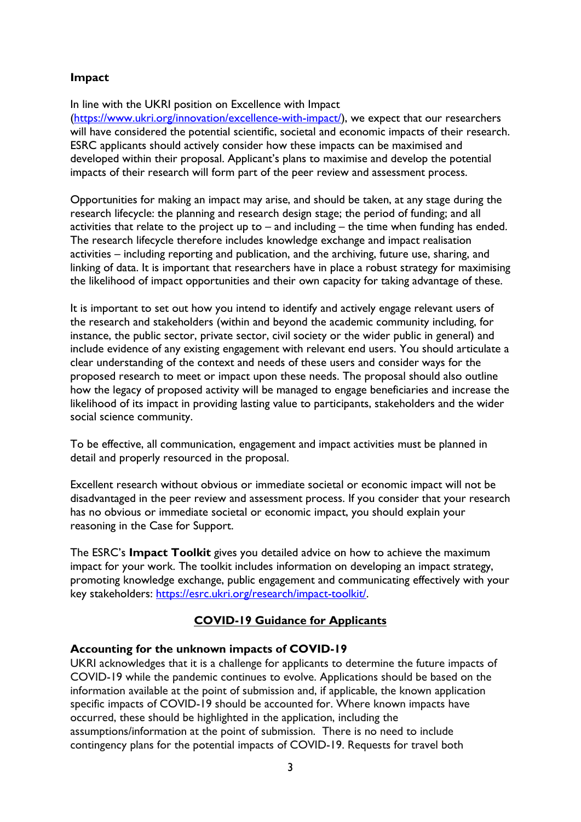### **Impact**

In line with the UKRI position on Excellence with Impact

[\(https://www.ukri.org/innovation/excellence-with-impact/\)](https://www.ukri.org/innovation/excellence-with-impact/), we expect that our researchers will have considered the potential scientific, societal and economic impacts of their research. ESRC applicants should actively consider how these impacts can be maximised and developed within their proposal. Applicant's plans to maximise and develop the potential impacts of their research will form part of the peer review and assessment process.

Opportunities for making an impact may arise, and should be taken, at any stage during the research lifecycle: the planning and research design stage; the period of funding; and all activities that relate to the project up to  $-$  and including  $-$  the time when funding has ended. The research lifecycle therefore includes knowledge exchange and impact realisation activities – including reporting and publication, and the archiving, future use, sharing, and linking of data. It is important that researchers have in place a robust strategy for maximising the likelihood of impact opportunities and their own capacity for taking advantage of these.

It is important to set out how you intend to identify and actively engage relevant users of the research and stakeholders (within and beyond the academic community including, for instance, the public sector, private sector, civil society or the wider public in general) and include evidence of any existing engagement with relevant end users. You should articulate a clear understanding of the context and needs of these users and consider ways for the proposed research to meet or impact upon these needs. The proposal should also outline how the legacy of proposed activity will be managed to engage beneficiaries and increase the likelihood of its impact in providing lasting value to participants, stakeholders and the wider social science community.

To be effective, all communication, engagement and impact activities must be planned in detail and properly resourced in the proposal.

Excellent research without obvious or immediate societal or economic impact will not be disadvantaged in the peer review and assessment process. If you consider that your research has no obvious or immediate societal or economic impact, you should explain your reasoning in the Case for Support.

The ESRC's **Impact Toolkit** gives you detailed advice on how to achieve the maximum impact for your work. The toolkit includes information on developing an impact strategy, promoting knowledge exchange, public engagement and communicating effectively with your key stakeholders: [https://esrc.ukri.org/research/impact-toolkit/.](https://esrc.ukri.org/research/impact-toolkit/)

### **COVID-19 Guidance for Applicants**

#### **Accounting for the unknown impacts of COVID-19**

UKRI acknowledges that it is a challenge for applicants to determine the future impacts of COVID-19 while the pandemic continues to evolve. Applications should be based on the information available at the point of submission and, if applicable, the known application specific impacts of COVID-19 should be accounted for. Where known impacts have occurred, these should be highlighted in the application, including the assumptions/information at the point of submission. There is no need to include contingency plans for the potential impacts of COVID-19. Requests for travel both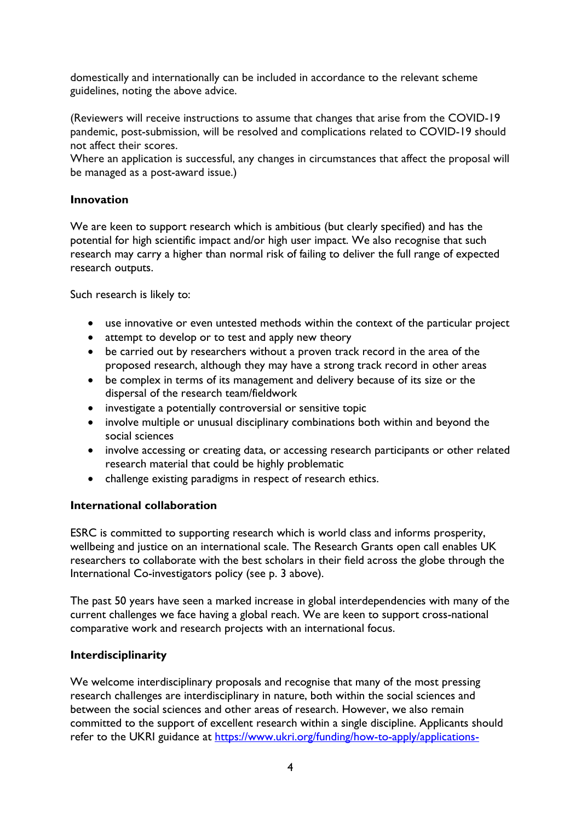domestically and internationally can be included in accordance to the relevant scheme guidelines, noting the above advice.

(Reviewers will receive instructions to assume that changes that arise from the COVID-19 pandemic, post-submission, will be resolved and complications related to COVID-19 should not affect their scores.

Where an application is successful, any changes in circumstances that affect the proposal will be managed as a post-award issue.)

### **Innovation**

We are keen to support research which is ambitious (but clearly specified) and has the potential for high scientific impact and/or high user impact. We also recognise that such research may carry a higher than normal risk of failing to deliver the full range of expected research outputs.

Such research is likely to:

- use innovative or even untested methods within the context of the particular project
- attempt to develop or to test and apply new theory
- be carried out by researchers without a proven track record in the area of the proposed research, although they may have a strong track record in other areas
- be complex in terms of its management and delivery because of its size or the dispersal of the research team/fieldwork
- investigate a potentially controversial or sensitive topic
- involve multiple or unusual disciplinary combinations both within and beyond the social sciences
- involve accessing or creating data, or accessing research participants or other related research material that could be highly problematic
- challenge existing paradigms in respect of research ethics.

# **International collaboration**

ESRC is committed to supporting research which is world class and informs prosperity, wellbeing and justice on an international scale. The Research Grants open call enables UK researchers to collaborate with the best scholars in their field across the globe through the International Co-investigators policy (see p. 3 above).

The past 50 years have seen a marked increase in global interdependencies with many of the current challenges we face having a global reach. We are keen to support cross-national comparative work and research projects with an international focus.

### **Interdisciplinarity**

We welcome interdisciplinary proposals and recognise that many of the most pressing research challenges are interdisciplinary in nature, both within the social sciences and between the social sciences and other areas of research. However, we also remain committed to the support of excellent research within a single discipline. Applicants should refer to the UKRI guidance at [https://www.ukri.org/funding/how-to-apply/applications-](https://www.ukri.org/funding/how-to-apply/applications-across-research-council-remits/)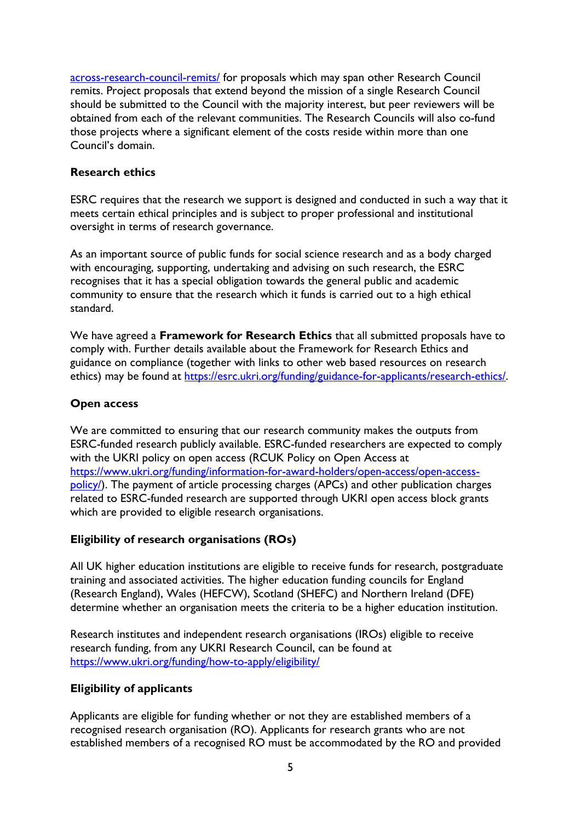[across-research-council-remits/](https://www.ukri.org/funding/how-to-apply/applications-across-research-council-remits/) for proposals which may span other Research Council remits. Project proposals that extend beyond the mission of a single Research Council should be submitted to the Council with the majority interest, but peer reviewers will be obtained from each of the relevant communities. The Research Councils will also co-fund those projects where a significant element of the costs reside within more than one Council's domain.

### **Research ethics**

ESRC requires that the research we support is designed and conducted in such a way that it meets certain ethical principles and is subject to proper professional and institutional oversight in terms of research governance.

As an important source of public funds for social science research and as a body charged with encouraging, supporting, undertaking and advising on such research, the ESRC recognises that it has a special obligation towards the general public and academic community to ensure that the research which it funds is carried out to a high ethical standard.

We have agreed a **Framework for Research Ethics** that all submitted proposals have to comply with. Further details available about the Framework for Research Ethics and guidance on compliance (together with links to other web based resources on research ethics) may be found at [https://esrc.ukri.org/funding/guidance-for-applicants/research-ethics/.](https://esrc.ukri.org/funding/guidance-for-applicants/research-ethics/)

### **Open access**

We are committed to ensuring that our research community makes the outputs from ESRC-funded research publicly available. ESRC-funded researchers are expected to comply with the UKRI policy on open access (RCUK Policy on Open Access at [https://www.ukri.org/funding/information-for-award-holders/open-access/open-access](https://www.ukri.org/funding/information-for-award-holders/open-access/open-access-policy/)[policy/\)](https://www.ukri.org/funding/information-for-award-holders/open-access/open-access-policy/). The payment of article processing charges (APCs) and other publication charges related to ESRC-funded research are supported through UKRI open access block grants which are provided to eligible research organisations.

# **Eligibility of research organisations (ROs)**

All UK higher education institutions are eligible to receive funds for research, postgraduate training and associated activities. The higher education funding councils for England (Research England), Wales (HEFCW), Scotland (SHEFC) and Northern Ireland (DFE) determine whether an organisation meets the criteria to be a higher education institution.

Research institutes and independent research organisations (IROs) eligible to receive research funding, from any UKRI Research Council, can be found at <https://www.ukri.org/funding/how-to-apply/eligibility/>

# **Eligibility of applicants**

Applicants are eligible for funding whether or not they are established members of a recognised research organisation (RO). Applicants for research grants who are not established members of a recognised RO must be accommodated by the RO and provided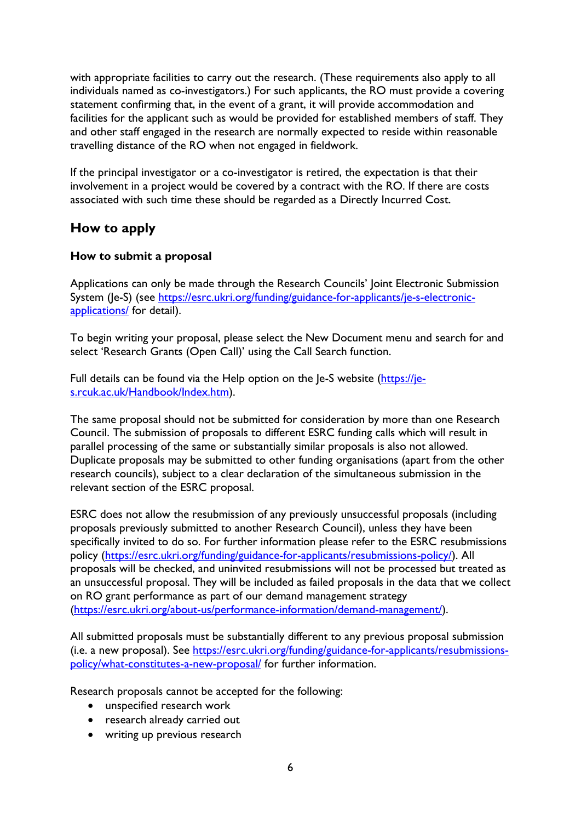with appropriate facilities to carry out the research. (These requirements also apply to all individuals named as co-investigators.) For such applicants, the RO must provide a covering statement confirming that, in the event of a grant, it will provide accommodation and facilities for the applicant such as would be provided for established members of staff. They and other staff engaged in the research are normally expected to reside within reasonable travelling distance of the RO when not engaged in fieldwork.

If the principal investigator or a co-investigator is retired, the expectation is that their involvement in a project would be covered by a contract with the RO. If there are costs associated with such time these should be regarded as a Directly Incurred Cost.

# **How to apply**

### **How to submit a proposal**

Applications can only be made through the Research Councils' Joint Electronic Submission System (Je-S) (see [https://esrc.ukri.org/funding/guidance-for-applicants/je-s-electronic](https://esrc.ukri.org/funding/guidance-for-applicants/je-s-electronic-applications/)[applications/](https://esrc.ukri.org/funding/guidance-for-applicants/je-s-electronic-applications/) for detail).

To begin writing your proposal, please select the New Document menu and search for and select 'Research Grants (Open Call)' using the Call Search function.

Full details can be found via the Help option on the Je-S website [\(https://je](https://je-s.rcuk.ac.uk/Handbook/Index.htm)[s.rcuk.ac.uk/Handbook/Index.htm\)](https://je-s.rcuk.ac.uk/Handbook/Index.htm).

The same proposal should not be submitted for consideration by more than one Research Council. The submission of proposals to different ESRC funding calls which will result in parallel processing of the same or substantially similar proposals is also not allowed. Duplicate proposals may be submitted to other funding organisations (apart from the other research councils), subject to a clear declaration of the simultaneous submission in the relevant section of the ESRC proposal.

ESRC does not allow the resubmission of any previously unsuccessful proposals (including proposals previously submitted to another Research Council), unless they have been specifically invited to do so. For further information please refer to the ESRC resubmissions policy [\(https://esrc.ukri.org/funding/guidance-for-applicants/resubmissions-policy/\)](https://esrc.ukri.org/funding/guidance-for-applicants/resubmissions-policy/). All proposals will be checked, and uninvited resubmissions will not be processed but treated as an unsuccessful proposal. They will be included as failed proposals in the data that we collect on RO grant performance as part of our demand management strategy [\(https://esrc.ukri.org/about-us/performance-information/demand-management/\)](https://esrc.ukri.org/about-us/performance-information/demand-management/).

All submitted proposals must be substantially different to any previous proposal submission (i.e. a new proposal). See [https://esrc.ukri.org/funding/guidance-for-applicants/resubmissions](https://esrc.ukri.org/funding/guidance-for-applicants/resubmissions-policy/what-constitutes-a-new-proposal/)[policy/what-constitutes-a-new-proposal/](https://esrc.ukri.org/funding/guidance-for-applicants/resubmissions-policy/what-constitutes-a-new-proposal/) for further information.

Research proposals cannot be accepted for the following:

- unspecified research work
- research already carried out
- writing up previous research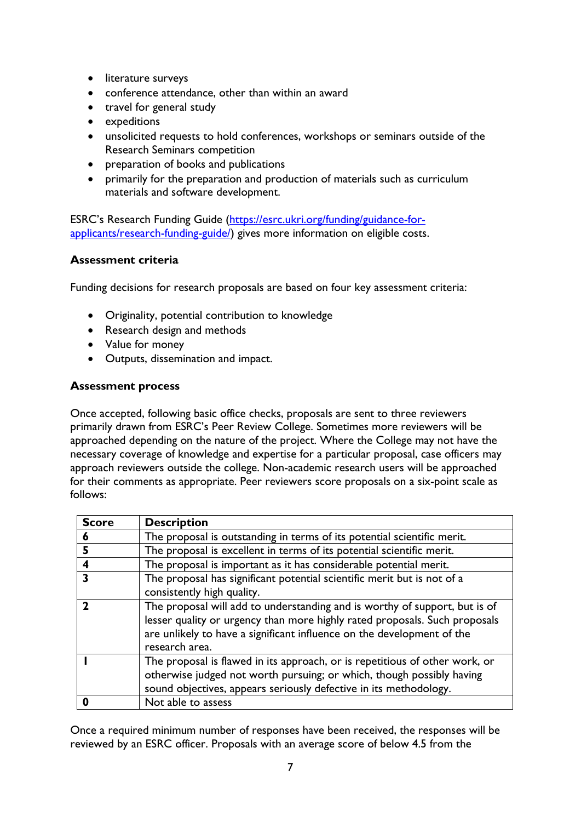- literature surveys
- conference attendance, other than within an award
- travel for general study
- expeditions
- unsolicited requests to hold conferences, workshops or seminars outside of the Research Seminars competition
- preparation of books and publications
- primarily for the preparation and production of materials such as curriculum materials and software development.

ESRC's Research Funding Guide [\(https://esrc.ukri.org/funding/guidance-for](https://esrc.ukri.org/funding/guidance-for-applicants/research-funding-guide/)[applicants/research-funding-guide/\)](https://esrc.ukri.org/funding/guidance-for-applicants/research-funding-guide/) gives more information on eligible costs.

#### **Assessment criteria**

Funding decisions for research proposals are based on four key assessment criteria:

- Originality, potential contribution to knowledge
- Research design and methods
- Value for money
- Outputs, dissemination and impact.

#### **Assessment process**

Once accepted, following basic office checks, proposals are sent to three reviewers primarily drawn from ESRC's Peer Review College. Sometimes more reviewers will be approached depending on the nature of the project. Where the College may not have the necessary coverage of knowledge and expertise for a particular proposal, case officers may approach reviewers outside the college. Non-academic research users will be approached for their comments as appropriate. Peer reviewers score proposals on a six-point scale as follows:

| <b>Score</b> | <b>Description</b>                                                                                                                                                                                                                                   |
|--------------|------------------------------------------------------------------------------------------------------------------------------------------------------------------------------------------------------------------------------------------------------|
| 6            | The proposal is outstanding in terms of its potential scientific merit.                                                                                                                                                                              |
| 5            | The proposal is excellent in terms of its potential scientific merit.                                                                                                                                                                                |
| 4            | The proposal is important as it has considerable potential merit.                                                                                                                                                                                    |
| 3            | The proposal has significant potential scientific merit but is not of a<br>consistently high quality.                                                                                                                                                |
|              | The proposal will add to understanding and is worthy of support, but is of<br>lesser quality or urgency than more highly rated proposals. Such proposals<br>are unlikely to have a significant influence on the development of the<br>research area. |
|              | The proposal is flawed in its approach, or is repetitious of other work, or<br>otherwise judged not worth pursuing; or which, though possibly having<br>sound objectives, appears seriously defective in its methodology.                            |
|              | Not able to assess                                                                                                                                                                                                                                   |

Once a required minimum number of responses have been received, the responses will be reviewed by an ESRC officer. Proposals with an average score of below 4.5 from the